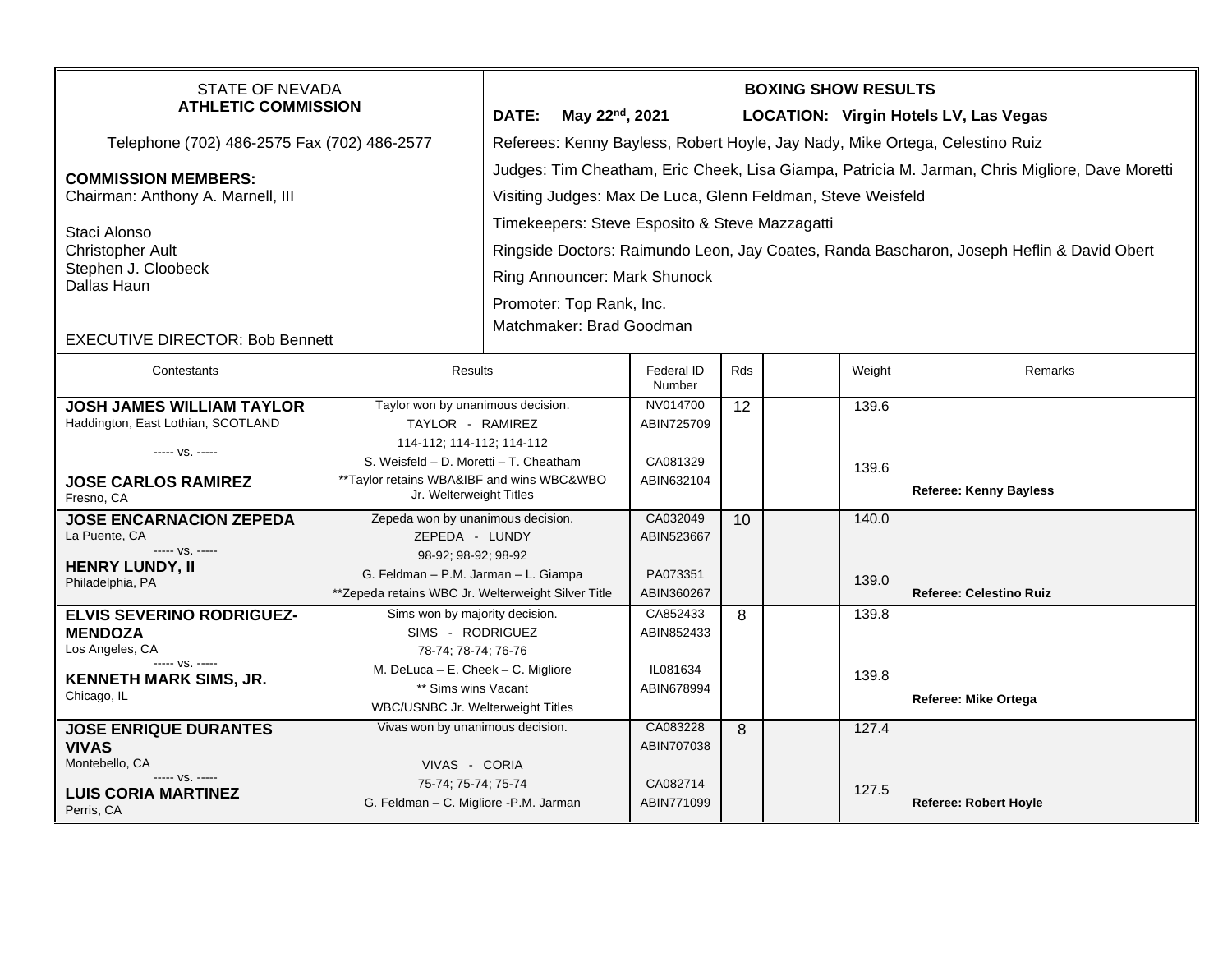| <b>STATE OF NEVADA</b><br><b>ATHLETIC COMMISSION</b>                                                                                             |                                                                                                                    | May 22 <sup>nd</sup> , 2021<br>DATE:                                                                                                                                                                                                                                                                                                                 |                                    |     | <b>BOXING SHOW RESULTS</b> |                | LOCATION: Virgin Hotels LV, Las Vegas |  |
|--------------------------------------------------------------------------------------------------------------------------------------------------|--------------------------------------------------------------------------------------------------------------------|------------------------------------------------------------------------------------------------------------------------------------------------------------------------------------------------------------------------------------------------------------------------------------------------------------------------------------------------------|------------------------------------|-----|----------------------------|----------------|---------------------------------------|--|
| Telephone (702) 486-2575 Fax (702) 486-2577                                                                                                      |                                                                                                                    | Referees: Kenny Bayless, Robert Hoyle, Jay Nady, Mike Ortega, Celestino Ruiz                                                                                                                                                                                                                                                                         |                                    |     |                            |                |                                       |  |
| <b>COMMISSION MEMBERS:</b><br>Chairman: Anthony A. Marnell, III<br>Staci Alonso<br><b>Christopher Ault</b><br>Stephen J. Cloobeck<br>Dallas Haun |                                                                                                                    | Judges: Tim Cheatham, Eric Cheek, Lisa Giampa, Patricia M. Jarman, Chris Migliore, Dave Moretti<br>Visiting Judges: Max De Luca, Glenn Feldman, Steve Weisfeld<br>Timekeepers: Steve Esposito & Steve Mazzagatti<br>Ringside Doctors: Raimundo Leon, Jay Coates, Randa Bascharon, Joseph Heflin & David Obert<br><b>Ring Announcer: Mark Shunock</b> |                                    |     |                            |                |                                       |  |
| <b>EXECUTIVE DIRECTOR: Bob Bennett</b>                                                                                                           |                                                                                                                    | Promoter: Top Rank, Inc.<br>Matchmaker: Brad Goodman                                                                                                                                                                                                                                                                                                 |                                    |     |                            |                |                                       |  |
| Contestants                                                                                                                                      | Results                                                                                                            |                                                                                                                                                                                                                                                                                                                                                      | Federal ID<br>Number               | Rds |                            | Weight         | Remarks                               |  |
| <b>JOSH JAMES WILLIAM TAYLOR</b><br>Haddington, East Lothian, SCOTLAND                                                                           | Taylor won by unanimous decision.<br>TAYLOR - RAMIREZ<br>114-112; 114-112; 114-112                                 |                                                                                                                                                                                                                                                                                                                                                      | NV014700<br>ABIN725709             | 12  |                            | 139.6          |                                       |  |
| ----- VS. -----<br><b>JOSE CARLOS RAMIREZ</b><br>Fresno, CA                                                                                      | S. Weisfeld - D. Moretti - T. Cheatham<br>**Taylor retains WBA&IBF and wins WBC&WBO<br>Jr. Welterweight Titles     |                                                                                                                                                                                                                                                                                                                                                      | CA081329<br>ABIN632104             |     |                            | 139.6          | <b>Referee: Kenny Bayless</b>         |  |
| <b>JOSE ENCARNACION ZEPEDA</b><br>La Puente, CA<br>----- VS. -----<br><b>HENRY LUNDY, II</b>                                                     | Zepeda won by unanimous decision.<br>ZEPEDA - LUNDY<br>98-92; 98-92; 98-92<br>G. Feldman - P.M. Jarman - L. Giampa |                                                                                                                                                                                                                                                                                                                                                      | CA032049<br>ABIN523667<br>PA073351 | 10  |                            | 140.0<br>139.0 |                                       |  |
| Philadelphia, PA<br>ELVIS SEVERINO RODRIGUEZ-                                                                                                    | **Zepeda retains WBC Jr. Welterweight Silver Title<br>Sims won by majority decision.                               |                                                                                                                                                                                                                                                                                                                                                      | ABIN360267<br>CA852433             | 8   |                            | 139.8          | <b>Referee: Celestino Ruiz</b>        |  |
| <b>MENDOZA</b><br>Los Angeles, CA<br>$--- VS. ---$                                                                                               | SIMS - RODRIGUEZ<br>78-74; 78-74; 76-76                                                                            |                                                                                                                                                                                                                                                                                                                                                      | ABIN852433                         |     |                            |                |                                       |  |
| <b>KENNETH MARK SIMS, JR.</b><br>Chicago, IL                                                                                                     | M. DeLuca - E. Cheek - C. Migliore<br>** Sims wins Vacant<br>WBC/USNBC Jr. Welterweight Titles                     |                                                                                                                                                                                                                                                                                                                                                      | IL081634<br>ABIN678994             |     |                            | 139.8          | <b>Referee: Mike Ortega</b>           |  |
| <b>JOSE ENRIQUE DURANTES</b><br><b>VIVAS</b><br>Montebello, CA                                                                                   | Vivas won by unanimous decision.<br>VIVAS - CORIA                                                                  |                                                                                                                                                                                                                                                                                                                                                      | CA083228<br>ABIN707038             | 8   |                            | 127.4          |                                       |  |
| ----- VS. -----<br><b>LUIS CORIA MARTINEZ</b><br>Perris, CA                                                                                      | 75-74; 75-74; 75-74<br>G. Feldman - C. Migliore -P.M. Jarman                                                       |                                                                                                                                                                                                                                                                                                                                                      | CA082714<br>ABIN771099             |     |                            | 127.5          | <b>Referee: Robert Hoyle</b>          |  |